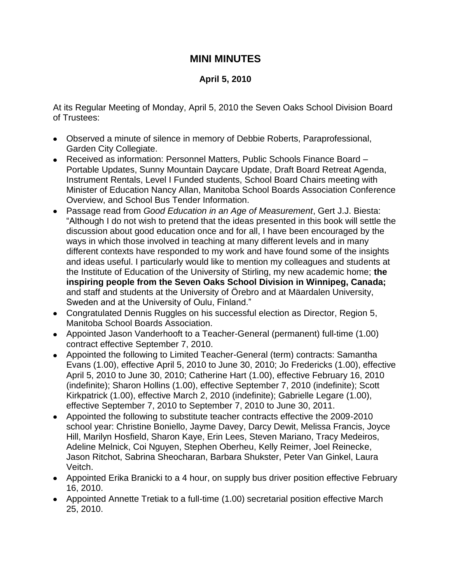## **MINI MINUTES**

## **April 5, 2010**

At its Regular Meeting of Monday, April 5, 2010 the Seven Oaks School Division Board of Trustees:

- Observed a minute of silence in memory of Debbie Roberts, Paraprofessional, Garden City Collegiate.
- Received as information: Personnel Matters, Public Schools Finance Board Portable Updates, Sunny Mountain Daycare Update, Draft Board Retreat Agenda, Instrument Rentals, Level I Funded students, School Board Chairs meeting with Minister of Education Nancy Allan, Manitoba School Boards Association Conference Overview, and School Bus Tender Information.
- Passage read from *Good Education in an Age of Measurement*, Gert J.J. Biesta: "Although I do not wish to pretend that the ideas presented in this book will settle the discussion about good education once and for all, I have been encouraged by the ways in which those involved in teaching at many different levels and in many different contexts have responded to my work and have found some of the insights and ideas useful. I particularly would like to mention my colleagues and students at the Institute of Education of the University of Stirling, my new academic home; **the inspiring people from the Seven Oaks School Division in Winnipeg, Canada;**  and staff and students at the University of Örebro and at Mäardalen University, Sweden and at the University of Oulu, Finland."
- Congratulated Dennis Ruggles on his successful election as Director, Region 5, Manitoba School Boards Association.
- Appointed Jason Vanderhooft to a Teacher-General (permanent) full-time (1.00) contract effective September 7, 2010.
- Appointed the following to Limited Teacher-General (term) contracts: Samantha Evans (1.00), effective April 5, 2010 to June 30, 2010; Jo Fredericks (1.00), effective April 5, 2010 to June 30, 2010; Catherine Hart (1.00), effective February 16, 2010 (indefinite); Sharon Hollins (1.00), effective September 7, 2010 (indefinite); Scott Kirkpatrick (1.00), effective March 2, 2010 (indefinite); Gabrielle Legare (1.00), effective September 7, 2010 to September 7, 2010 to June 30, 2011.
- Appointed the following to substitute teacher contracts effective the 2009-2010 school year: Christine Boniello, Jayme Davey, Darcy Dewit, Melissa Francis, Joyce Hill, Marilyn Hosfield, Sharon Kaye, Erin Lees, Steven Mariano, Tracy Medeiros, Adeline Melnick, Coi Nguyen, Stephen Oberheu, Kelly Reimer, Joel Reinecke, Jason Ritchot, Sabrina Sheocharan, Barbara Shukster, Peter Van Ginkel, Laura Veitch.
- Appointed Erika Branicki to a 4 hour, on supply bus driver position effective February 16, 2010.
- Appointed Annette Tretiak to a full-time (1.00) secretarial position effective March 25, 2010.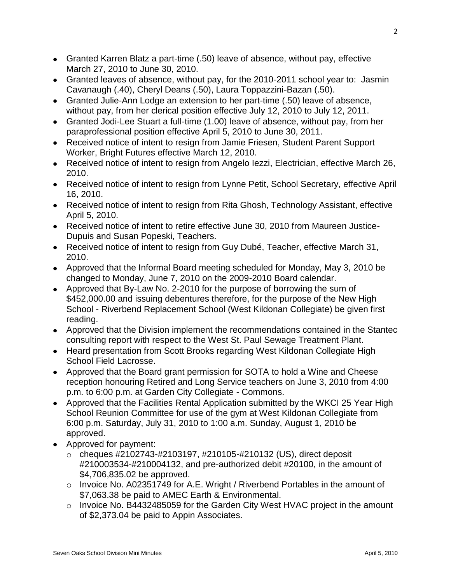- Granted Karren Blatz a part-time (.50) leave of absence, without pay, effective March 27, 2010 to June 30, 2010.
- Granted leaves of absence, without pay, for the 2010-2011 school year to: Jasmin Cavanaugh (.40), Cheryl Deans (.50), Laura Toppazzini-Bazan (.50).
- Granted Julie-Ann Lodge an extension to her part-time (.50) leave of absence, without pay, from her clerical position effective July 12, 2010 to July 12, 2011.
- Granted Jodi-Lee Stuart a full-time (1.00) leave of absence, without pay, from her paraprofessional position effective April 5, 2010 to June 30, 2011.
- Received notice of intent to resign from Jamie Friesen, Student Parent Support Worker, Bright Futures effective March 12, 2010.
- Received notice of intent to resign from Angelo Iezzi, Electrician, effective March 26, 2010.
- Received notice of intent to resign from Lynne Petit, School Secretary, effective April 16, 2010.
- Received notice of intent to resign from Rita Ghosh, Technology Assistant, effective April 5, 2010.
- Received notice of intent to retire effective June 30, 2010 from Maureen Justice-Dupuis and Susan Popeski, Teachers.
- Received notice of intent to resign from Guy Dubé, Teacher, effective March 31, 2010.
- Approved that the Informal Board meeting scheduled for Monday, May 3, 2010 be changed to Monday, June 7, 2010 on the 2009-2010 Board calendar.
- Approved that By-Law No. 2-2010 for the purpose of borrowing the sum of \$452,000.00 and issuing debentures therefore, for the purpose of the New High School - Riverbend Replacement School (West Kildonan Collegiate) be given first reading.
- Approved that the Division implement the recommendations contained in the Stantec consulting report with respect to the West St. Paul Sewage Treatment Plant.
- Heard presentation from Scott Brooks regarding West Kildonan Collegiate High School Field Lacrosse.
- Approved that the Board grant permission for SOTA to hold a Wine and Cheese reception honouring Retired and Long Service teachers on June 3, 2010 from 4:00 p.m. to 6:00 p.m. at Garden City Collegiate - Commons.
- Approved that the Facilities Rental Application submitted by the WKCI 25 Year High School Reunion Committee for use of the gym at West Kildonan Collegiate from 6:00 p.m. Saturday, July 31, 2010 to 1:00 a.m. Sunday, August 1, 2010 be approved.
- Approved for payment:
	- o cheques #2102743-#2103197, #210105-#210132 (US), direct deposit #210003534-#210004132, and pre-authorized debit #20100, in the amount of \$4,706,835.02 be approved.
	- o Invoice No. A02351749 for A.E. Wright / Riverbend Portables in the amount of \$7,063.38 be paid to AMEC Earth & Environmental.
	- o Invoice No. B4432485059 for the Garden City West HVAC project in the amount of \$2,373.04 be paid to Appin Associates.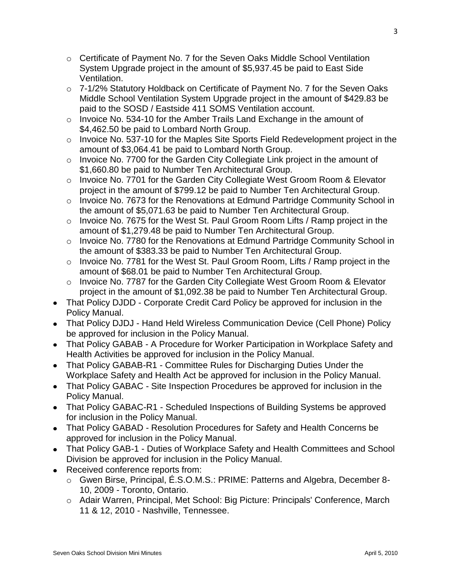- $\circ$  Certificate of Payment No. 7 for the Seven Oaks Middle School Ventilation System Upgrade project in the amount of \$5,937.45 be paid to East Side Ventilation.
- o 7-1/2% Statutory Holdback on Certificate of Payment No. 7 for the Seven Oaks Middle School Ventilation System Upgrade project in the amount of \$429.83 be paid to the SOSD / Eastside 411 SOMS Ventilation account.
- $\circ$  Invoice No. 534-10 for the Amber Trails Land Exchange in the amount of \$4,462.50 be paid to Lombard North Group.
- o Invoice No. 537-10 for the Maples Site Sports Field Redevelopment project in the amount of \$3,064.41 be paid to Lombard North Group.
- o Invoice No. 7700 for the Garden City Collegiate Link project in the amount of \$1,660.80 be paid to Number Ten Architectural Group.
- $\circ$  Invoice No. 7701 for the Garden City Collegiate West Groom Room & Elevator project in the amount of \$799.12 be paid to Number Ten Architectural Group.
- o Invoice No. 7673 for the Renovations at Edmund Partridge Community School in the amount of \$5,071.63 be paid to Number Ten Architectural Group.
- o Invoice No. 7675 for the West St. Paul Groom Room Lifts / Ramp project in the amount of \$1,279.48 be paid to Number Ten Architectural Group.
- o Invoice No. 7780 for the Renovations at Edmund Partridge Community School in the amount of \$383.33 be paid to Number Ten Architectural Group.
- o Invoice No. 7781 for the West St. Paul Groom Room, Lifts / Ramp project in the amount of \$68.01 be paid to Number Ten Architectural Group.
- o Invoice No. 7787 for the Garden City Collegiate West Groom Room & Elevator project in the amount of \$1,092.38 be paid to Number Ten Architectural Group.
- That Policy DJDD Corporate Credit Card Policy be approved for inclusion in the Policy Manual.
- That Policy DJDJ Hand Held Wireless Communication Device (Cell Phone) Policy be approved for inclusion in the Policy Manual.
- That Policy GABAB A Procedure for Worker Participation in Workplace Safety and Health Activities be approved for inclusion in the Policy Manual.
- That Policy GABAB-R1 Committee Rules for Discharging Duties Under the Workplace Safety and Health Act be approved for inclusion in the Policy Manual.
- That Policy GABAC Site Inspection Procedures be approved for inclusion in the Policy Manual.
- That Policy GABAC-R1 Scheduled Inspections of Building Systems be approved for inclusion in the Policy Manual.
- That Policy GABAD Resolution Procedures for Safety and Health Concerns be approved for inclusion in the Policy Manual.
- That Policy GAB-1 Duties of Workplace Safety and Health Committees and School Division be approved for inclusion in the Policy Manual.
- Received conference reports from:
	- o Gwen Birse, Principal, É.S.O.M.S.: PRIME: Patterns and Algebra, December 8- 10, 2009 - Toronto, Ontario.
	- o Adair Warren, Principal, Met School: Big Picture: Principals' Conference, March 11 & 12, 2010 - Nashville, Tennessee.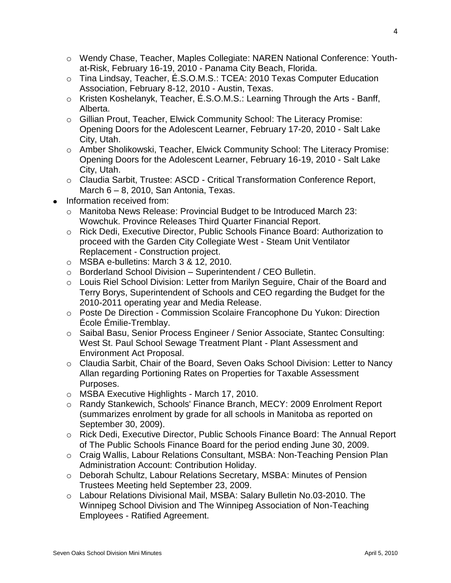- o Wendy Chase, Teacher, Maples Collegiate: NAREN National Conference: Youthat-Risk, February 16-19, 2010 - Panama City Beach, Florida.
- o Tina Lindsay, Teacher, É.S.O.M.S.: TCEA: 2010 Texas Computer Education Association, February 8-12, 2010 - Austin, Texas.
- o Kristen Koshelanyk, Teacher, É.S.O.M.S.: Learning Through the Arts Banff, Alberta.
- o Gillian Prout, Teacher, Elwick Community School: The Literacy Promise: Opening Doors for the Adolescent Learner, February 17-20, 2010 - Salt Lake City, Utah.
- o Amber Sholikowski, Teacher, Elwick Community School: The Literacy Promise: Opening Doors for the Adolescent Learner, February 16-19, 2010 - Salt Lake City, Utah.
- o Claudia Sarbit, Trustee: ASCD Critical Transformation Conference Report, March 6 – 8, 2010, San Antonia, Texas.
- Information received from:
	- o Manitoba News Release: Provincial Budget to be Introduced March 23: Wowchuk. Province Releases Third Quarter Financial Report.
	- o Rick Dedi, Executive Director, Public Schools Finance Board: Authorization to proceed with the Garden City Collegiate West - Steam Unit Ventilator Replacement - Construction project.
	- o MSBA e-bulletins: March 3 & 12, 2010.
	- o Borderland School Division Superintendent / CEO Bulletin.
	- $\circ$  Louis Riel School Division: Letter from Marilyn Seguire, Chair of the Board and Terry Borys, Superintendent of Schools and CEO regarding the Budget for the 2010-2011 operating year and Media Release.
	- o Poste De Direction Commission Scolaire Francophone Du Yukon: Direction École Émilie-Tremblay.
	- o Saibal Basu, Senior Process Engineer / Senior Associate, Stantec Consulting: West St. Paul School Sewage Treatment Plant - Plant Assessment and Environment Act Proposal.
	- $\circ$  Claudia Sarbit, Chair of the Board, Seven Oaks School Division: Letter to Nancy Allan regarding Portioning Rates on Properties for Taxable Assessment Purposes.
	- o MSBA Executive Highlights March 17, 2010.
	- o Randy Stankewich, Schools' Finance Branch, MECY: 2009 Enrolment Report (summarizes enrolment by grade for all schools in Manitoba as reported on September 30, 2009).
	- o Rick Dedi, Executive Director, Public Schools Finance Board: The Annual Report of The Public Schools Finance Board for the period ending June 30, 2009.
	- o Craig Wallis, Labour Relations Consultant, MSBA: Non-Teaching Pension Plan Administration Account: Contribution Holiday.
	- o Deborah Schultz, Labour Relations Secretary, MSBA: Minutes of Pension Trustees Meeting held September 23, 2009.
	- o Labour Relations Divisional Mail, MSBA: Salary Bulletin No.03-2010. The Winnipeg School Division and The Winnipeg Association of Non-Teaching Employees - Ratified Agreement.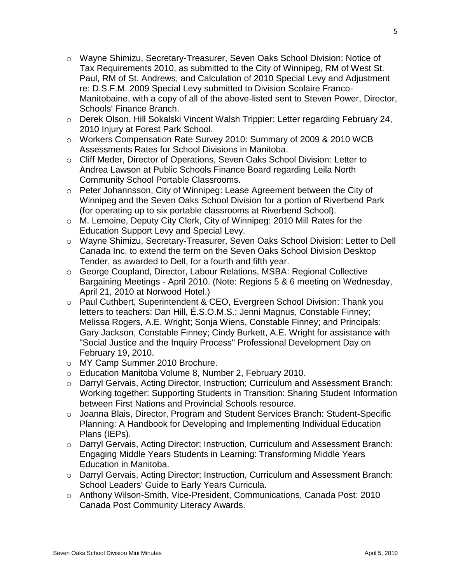- o Wayne Shimizu, Secretary-Treasurer, Seven Oaks School Division: Notice of Tax Requirements 2010, as submitted to the City of Winnipeg, RM of West St. Paul, RM of St. Andrews, and Calculation of 2010 Special Levy and Adjustment re: D.S.F.M. 2009 Special Levy submitted to Division Scolaire Franco-Manitobaine, with a copy of all of the above-listed sent to Steven Power, Director, Schools' Finance Branch.
- o Derek Olson, Hill Sokalski Vincent Walsh Trippier: Letter regarding February 24, 2010 Injury at Forest Park School.
- o Workers Compensation Rate Survey 2010: Summary of 2009 & 2010 WCB Assessments Rates for School Divisions in Manitoba.
- o Cliff Meder, Director of Operations, Seven Oaks School Division: Letter to Andrea Lawson at Public Schools Finance Board regarding Leila North Community School Portable Classrooms.
- o Peter Johannsson, City of Winnipeg: Lease Agreement between the City of Winnipeg and the Seven Oaks School Division for a portion of Riverbend Park (for operating up to six portable classrooms at Riverbend School).
- o M. Lemoine, Deputy City Clerk, City of Winnipeg: 2010 Mill Rates for the Education Support Levy and Special Levy.
- o Wayne Shimizu, Secretary-Treasurer, Seven Oaks School Division: Letter to Dell Canada Inc. to extend the term on the Seven Oaks School Division Desktop Tender, as awarded to Dell, for a fourth and fifth year.
- o George Coupland, Director, Labour Relations, MSBA: Regional Collective Bargaining Meetings - April 2010. (Note: Regions 5 & 6 meeting on Wednesday, April 21, 2010 at Norwood Hotel.)
- o Paul Cuthbert, Superintendent & CEO, Evergreen School Division: Thank you letters to teachers: Dan Hill, É.S.O.M.S.; Jenni Magnus, Constable Finney; Melissa Rogers, A.E. Wright; Sonja Wiens, Constable Finney; and Principals: Gary Jackson, Constable Finney; Cindy Burkett, A.E. Wright for assistance with "Social Justice and the Inquiry Process" Professional Development Day on February 19, 2010.
- o MY Camp Summer 2010 Brochure.
- o Education Manitoba Volume 8, Number 2, February 2010.
- o Darryl Gervais, Acting Director, Instruction; Curriculum and Assessment Branch: Working together: Supporting Students in Transition: Sharing Student Information between First Nations and Provincial Schools resource.
- o Joanna Blais, Director, Program and Student Services Branch: Student-Specific Planning: A Handbook for Developing and Implementing Individual Education Plans (IEPs).
- o Darryl Gervais, Acting Director; Instruction, Curriculum and Assessment Branch: Engaging Middle Years Students in Learning: Transforming Middle Years Education in Manitoba.
- o Darryl Gervais, Acting Director; Instruction, Curriculum and Assessment Branch: School Leaders' Guide to Early Years Curricula.
- o Anthony Wilson-Smith, Vice-President, Communications, Canada Post: 2010 Canada Post Community Literacy Awards.